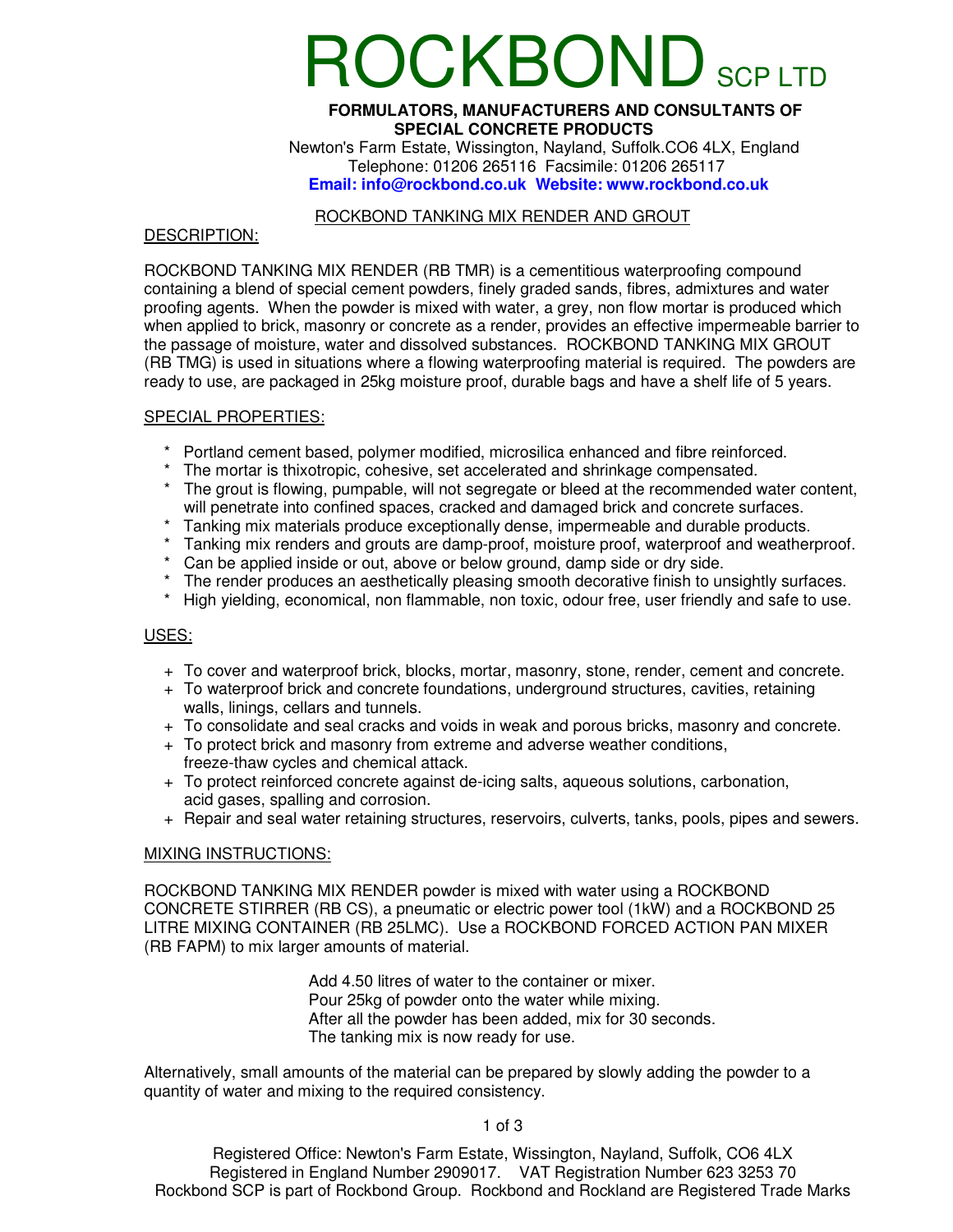# OCKBOND SCP LTD

#### **FORMULATORS, MANUFACTURERS AND CONSULTANTS OF SPECIAL CONCRETE PRODUCTS**

 Newton's Farm Estate, Wissington, Nayland, Suffolk.CO6 4LX, England Telephone: 01206 265116 Facsimile: 01206 265117 **Email: info@rockbond.co.uk Website: www.rockbond.co.uk** 

#### ROCKBOND TANKING MIX RENDER AND GROUT

#### DESCRIPTION:

ROCKBOND TANKING MIX RENDER (RB TMR) is a cementitious waterproofing compound containing a blend of special cement powders, finely graded sands, fibres, admixtures and water proofing agents. When the powder is mixed with water, a grey, non flow mortar is produced which when applied to brick, masonry or concrete as a render, provides an effective impermeable barrier to the passage of moisture, water and dissolved substances. ROCKBOND TANKING MIX GROUT (RB TMG) is used in situations where a flowing waterproofing material is required. The powders are ready to use, are packaged in 25kg moisture proof, durable bags and have a shelf life of 5 years.

#### SPECIAL PROPERTIES:

- \* Portland cement based, polymer modified, microsilica enhanced and fibre reinforced.
- \* The mortar is thixotropic, cohesive, set accelerated and shrinkage compensated.
- \* The grout is flowing, pumpable, will not segregate or bleed at the recommended water content, will penetrate into confined spaces, cracked and damaged brick and concrete surfaces.
- \* Tanking mix materials produce exceptionally dense, impermeable and durable products.
- \* Tanking mix renders and grouts are damp-proof, moisture proof, waterproof and weatherproof.
- \* Can be applied inside or out, above or below ground, damp side or dry side.
- \* The render produces an aesthetically pleasing smooth decorative finish to unsightly surfaces.
- High yielding, economical, non flammable, non toxic, odour free, user friendly and safe to use.

#### USES:

- + To cover and waterproof brick, blocks, mortar, masonry, stone, render, cement and concrete.
- + To waterproof brick and concrete foundations, underground structures, cavities, retaining walls, linings, cellars and tunnels.
- + To consolidate and seal cracks and voids in weak and porous bricks, masonry and concrete.
- + To protect brick and masonry from extreme and adverse weather conditions, freeze-thaw cycles and chemical attack.
- + To protect reinforced concrete against de-icing salts, aqueous solutions, carbonation, acid gases, spalling and corrosion.
- + Repair and seal water retaining structures, reservoirs, culverts, tanks, pools, pipes and sewers.

### MIXING INSTRUCTIONS:

ROCKBOND TANKING MIX RENDER powder is mixed with water using a ROCKBOND CONCRETE STIRRER (RB CS), a pneumatic or electric power tool (1kW) and a ROCKBOND 25 LITRE MIXING CONTAINER (RB 25LMC). Use a ROCKBOND FORCED ACTION PAN MIXER (RB FAPM) to mix larger amounts of material.

> Add 4.50 litres of water to the container or mixer. Pour 25kg of powder onto the water while mixing. After all the powder has been added, mix for 30 seconds. The tanking mix is now ready for use.

Alternatively, small amounts of the material can be prepared by slowly adding the powder to a quantity of water and mixing to the required consistency.

#### 1 of 3

Registered Office: Newton's Farm Estate, Wissington, Nayland, Suffolk, CO6 4LX Registered in England Number 2909017. VAT Registration Number 623 3253 70 Rockbond SCP is part of Rockbond Group. Rockbond and Rockland are Registered Trade Marks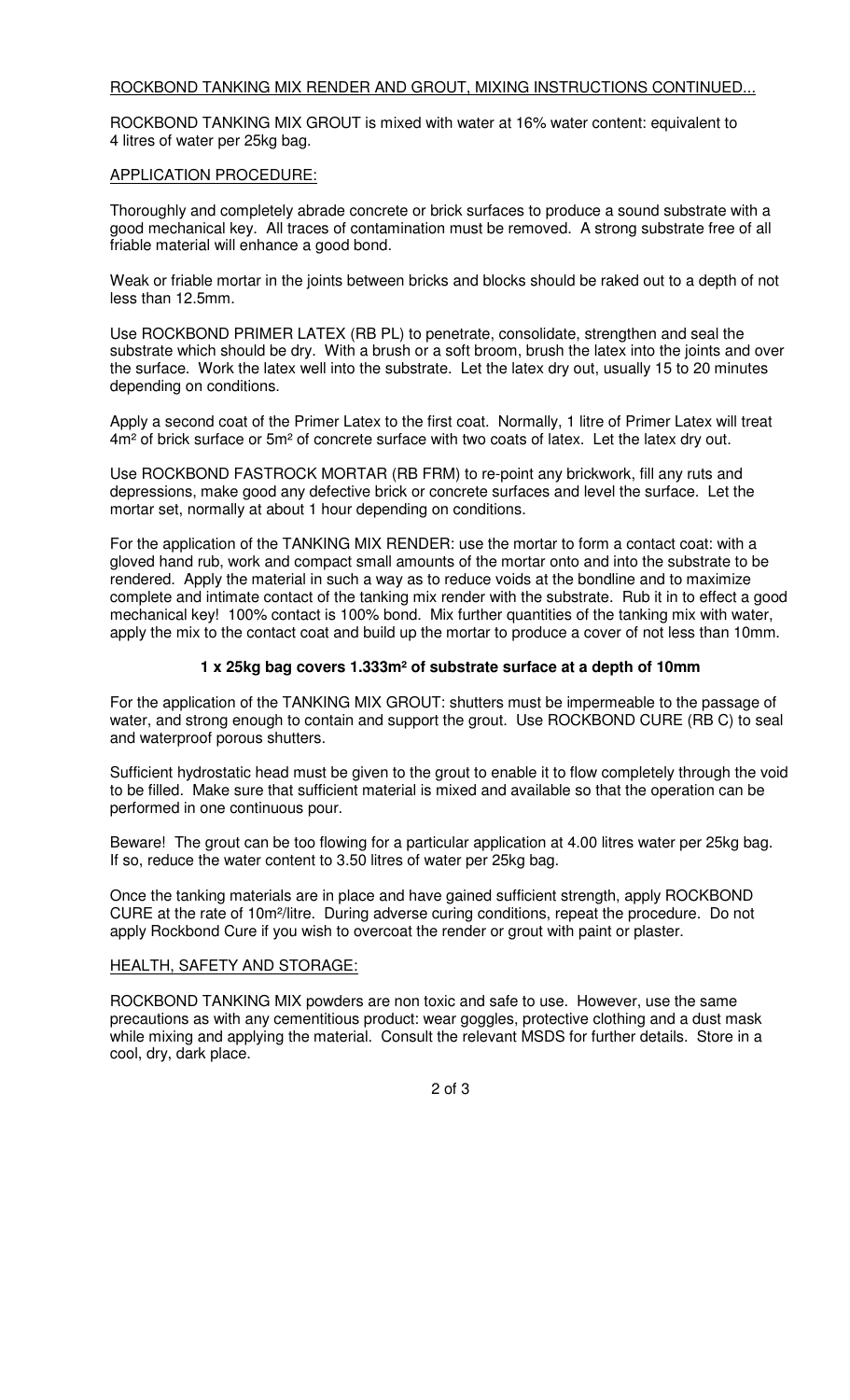# ROCKBOND TANKING MIX RENDER AND GROUT, MIXING INSTRUCTIONS CONTINUED...

ROCKBOND TANKING MIX GROUT is mixed with water at 16% water content: equivalent to 4 litres of water per 25kg bag.

### APPLICATION PROCEDURE:

Thoroughly and completely abrade concrete or brick surfaces to produce a sound substrate with a good mechanical key. All traces of contamination must be removed. A strong substrate free of all friable material will enhance a good bond.

Weak or friable mortar in the joints between bricks and blocks should be raked out to a depth of not less than 12.5mm.

Use ROCKBOND PRIMER LATEX (RB PL) to penetrate, consolidate, strengthen and seal the substrate which should be dry. With a brush or a soft broom, brush the latex into the joints and over the surface. Work the latex well into the substrate. Let the latex dry out, usually 15 to 20 minutes depending on conditions.

Apply a second coat of the Primer Latex to the first coat. Normally, 1 litre of Primer Latex will treat 4m<sup>2</sup> of brick surface or 5m<sup>2</sup> of concrete surface with two coats of latex. Let the latex dry out.

Use ROCKBOND FASTROCK MORTAR (RB FRM) to re-point any brickwork, fill any ruts and depressions, make good any defective brick or concrete surfaces and level the surface. Let the mortar set, normally at about 1 hour depending on conditions.

For the application of the TANKING MIX RENDER: use the mortar to form a contact coat: with a gloved hand rub, work and compact small amounts of the mortar onto and into the substrate to be rendered. Apply the material in such a way as to reduce voids at the bondline and to maximize complete and intimate contact of the tanking mix render with the substrate. Rub it in to effect a good mechanical key! 100% contact is 100% bond. Mix further quantities of the tanking mix with water, apply the mix to the contact coat and build up the mortar to produce a cover of not less than 10mm.

# **1 x 25kg bag covers 1.333m² of substrate surface at a depth of 10mm**

For the application of the TANKING MIX GROUT: shutters must be impermeable to the passage of water, and strong enough to contain and support the grout. Use ROCKBOND CURE (RB C) to seal and waterproof porous shutters.

Sufficient hydrostatic head must be given to the grout to enable it to flow completely through the void to be filled. Make sure that sufficient material is mixed and available so that the operation can be performed in one continuous pour.

Beware! The grout can be too flowing for a particular application at 4.00 litres water per 25kg bag. If so, reduce the water content to 3.50 litres of water per 25kg bag.

Once the tanking materials are in place and have gained sufficient strength, apply ROCKBOND CURE at the rate of 10m²/litre. During adverse curing conditions, repeat the procedure. Do not apply Rockbond Cure if you wish to overcoat the render or grout with paint or plaster.

# HEALTH, SAFETY AND STORAGE:

ROCKBOND TANKING MIX powders are non toxic and safe to use. However, use the same precautions as with any cementitious product: wear goggles, protective clothing and a dust mask while mixing and applying the material. Consult the relevant MSDS for further details. Store in a cool, dry, dark place.

2 of 3